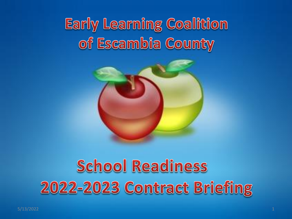## **Early Learning Coalition** of Escambia County



## **School Readiness** 2022-2023 Contract Briefing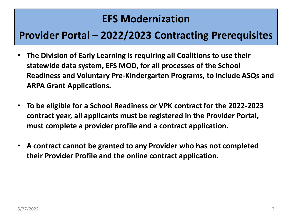### **EFS Modernization**

### **Provider Portal – 2022/2023 Contracting Prerequisites**

- **The Division of Early Learning is requiring all Coalitions to use their statewide data system, EFS MOD, for all processes of the School Readiness and Voluntary Pre-Kindergarten Programs, to include ASQs and ARPA Grant Applications.**
- **To be eligible for a School Readiness or VPK contract for the 2022-2023 contract year, all applicants must be registered in the Provider Portal, must complete a provider profile and a contract application.**
- **A contract cannot be granted to any Provider who has not completed their Provider Profile and the online contract application.**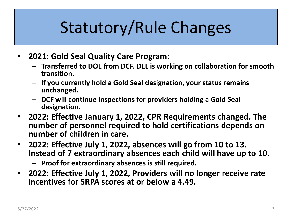## Statutory/Rule Changes

- **2021: Gold Seal Quality Care Program:** 
	- **Transferred to DOE from DCF. DEL is working on collaboration for smooth transition.**
	- **If you currently hold a Gold Seal designation, your status remains unchanged.**
	- **DCF will continue inspections for providers holding a Gold Seal designation.**
- **2022: Effective January 1, 2022, CPR Requirements changed. The number of personnel required to hold certifications depends on number of children in care.**
- **2022: Effective July 1, 2022, absences will go from 10 to 13. Instead of 7 extraordinary absences each child will have up to 10.**
	- **Proof for extraordinary absences is still required.**
- **2022: Effective July 1, 2022, Providers will no longer receive rate incentives for SRPA scores at or below a 4.49.**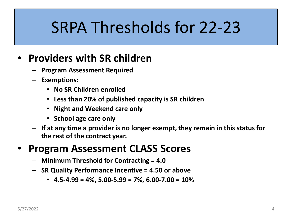## SRPA Thresholds for 22-23

### • **Providers with SR children**

- **Program Assessment Required**
- **Exemptions:** 
	- **No SR Children enrolled**
	- **Less than 20% of published capacity is SR children**
	- **Night and Weekend care only**
	- **School age care only**
- **If at any time a provider is no longer exempt, they remain in this status for the rest of the contract year.**

### • **Program Assessment CLASS Scores**

- **Minimum Threshold for Contracting = 4.0**
- **SR Quality Performance Incentive = 4.50 or above**
	- **4.5-4.99 = 4%, 5.00-5.99 = 7%, 6.00-7.00 = 10%**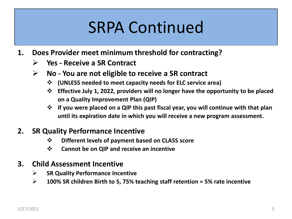## SRPA Continued

- **1. Does Provider meet minimum threshold for contracting?**
	- ➢ **Yes - Receive a SR Contract**
	- ➢ **No - You are not eligible to receive a SR contract** 
		- ❖ **(UNLESS needed to meet capacity needs for ELC service area)**
		- ❖ **Effective July 1, 2022, providers will no longer have the opportunity to be placed on a Quality Improvement Plan (QIP)**
		- ❖ If you were placed on a QIP this past fiscal year, you will continue with that plan **until its expiration date in which you will receive a new program assessment.**

#### **2. SR Quality Performance Incentive**

- ❖ **Different levels of payment based on CLASS score**
- ❖ **Cannot be on QIP and receive an incentive**

#### **3. Child Assessment Incentive**

- ➢ **SR Quality Performance Incentive**
- ➢ **100% SR children Birth to 5, 75% teaching staff retention = 5% rate incentive**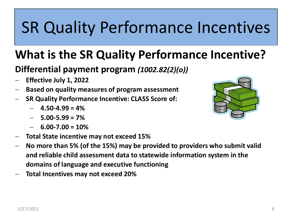## SR Quality Performance Incentives

### **What is the SR Quality Performance Incentive?**

#### **Differential payment program** *(1002.82(2)(o))*

- − **Effective July 1, 2022**
- − **Based on quality measures of program assessment**
- − **SR Quality Performance Incentive: CLASS Score of:**
	- − **4.50-4.99 = 4%**
	- − **5.00-5.99 = 7%**
	- − **6.00-7.00 = 10%**
- − **Total State incentive may not exceed 15%**
- − **No more than 5% (of the 15%) may be provided to providers who submit valid and reliable child assessment data to statewide information system in the domains of language and executive functioning**
- − **Total Incentives may not exceed 20%**

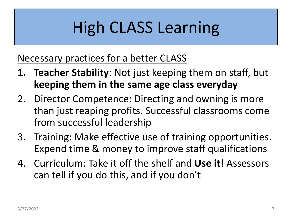## High CLASS Learning

### Necessary practices for a better CLASS

- **1. Teacher Stability**: Not just keeping them on staff, but **keeping them in the same age class everyday**
- 2. Director Competence: Directing and owning is more than just reaping profits. Successful classrooms come from successful leadership
- 3. Training: Make effective use of training opportunities. Expend time & money to improve staff qualifications
- 4. Curriculum: Take it off the shelf and **Use it**! Assessors can tell if you do this, and if you don't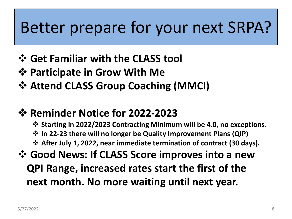### Better prepare for your next SRPA?

- ❖ **Get Familiar with the CLASS tool**
- ❖ **Participate in Grow With Me**
- ❖ **Attend CLASS Group Coaching (MMCI)**
- ❖ **Reminder Notice for 2022-2023**
	- ❖ **Starting in 2022/2023 Contracting Minimum will be 4.0, no exceptions.**
	- ❖ **In 22-23 there will no longer be Quality Improvement Plans (QIP)**
	- ❖ **After July 1, 2022, near immediate termination of contract (30 days).**
- ❖ **Good News: If CLASS Score improves into a new QPI Range, increased rates start the first of the next month. No more waiting until next year.**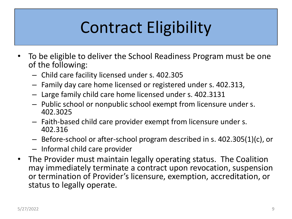## Contract Eligibility

- To be eligible to deliver the School Readiness Program must be one of the following:
	- Child care facility licensed under s. 402.305
	- Family day care home licensed or registered under s. 402.313,
	- Large family child care home licensed under s. 402.3131
	- Public school or nonpublic school exempt from licensure under s. 402.3025
	- Faith-based child care provider exempt from licensure under s. 402.316
	- Before-school or after-school program described in s. 402.305(1)(c), or
	- Informal child care provider
- The Provider must maintain legally operating status. The Coalition may immediately terminate a contract upon revocation, suspension or termination of Provider's licensure, exemption, accreditation, or status to legally operate.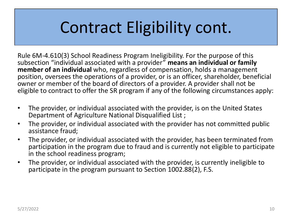## Contract Eligibility cont.

Rule 6M-4.610(3) School Readiness Program Ineligibility. For the purpose of this subsection "individual associated with a provider" **means an individual or family member of an individual** who, regardless of compensation, holds a management position, oversees the operations of a provider, or is an officer, shareholder, beneficial owner or member of the board of directors of a provider. A provider shall not be eligible to contract to offer the SR program if any of the following circumstances apply:

- The provider, or individual associated with the provider, is on the United States Department of Agriculture National Disqualified List ;
- The provider, or individual associated with the provider has not committed public assistance fraud;
- The provider, or individual associated with the provider, has been terminated from participation in the program due to fraud and is currently not eligible to participate in the school readiness program;
- The provider, or individual associated with the provider, is currently ineligible to participate in the program pursuant to Section 1002.88(2), F.S.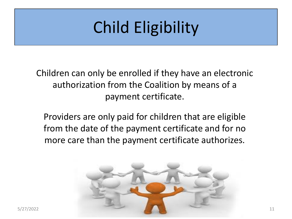## Child Eligibility

Children can only be enrolled if they have an electronic authorization from the Coalition by means of a payment certificate.

Providers are only paid for children that are eligible from the date of the payment certificate and for no more care than the payment certificate authorizes.

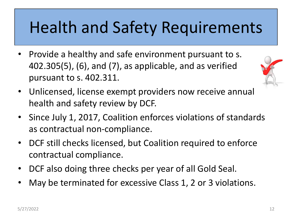## Health and Safety Requirements

• Provide a healthy and safe environment pursuant to s. 402.305(5), (6), and (7), as applicable, and as verified pursuant to s. 402.311.



- Unlicensed, license exempt providers now receive annual health and safety review by DCF.
- Since July 1, 2017, Coalition enforces violations of standards as contractual non-compliance.
- DCF still checks licensed, but Coalition required to enforce contractual compliance.
- DCF also doing three checks per year of all Gold Seal.
- May be terminated for excessive Class 1, 2 or 3 violations.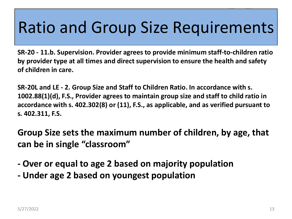## Ratio and Group Size Requirements

**SR-20 - 11.b. Supervision. Provider agrees to provide minimum staff-to-children ratio by provider type at all times and direct supervision to ensure the health and safety of children in care.**

**SR-20L and LE - 2. Group Size and Staff to Children Ratio. In accordance with s. 1002.88(1)(d), F.S., Provider agrees to maintain group size and staff to child ratio in accordance with s. 402.302(8) or (11), F.S., as applicable, and as verified pursuant to s. 402.311, F.S.**

**Group Size sets the maximum number of children, by age, that can be in single "classroom"**

- **- Over or equal to age 2 based on majority population**
- **- Under age 2 based on youngest population**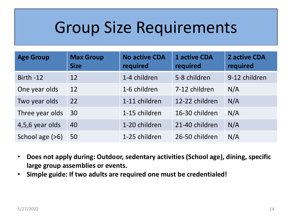### Group Size Requirements

| <b>Age Group</b> | <b>Max Group</b><br><b>Size</b> | <b>No active CDA</b><br>required | <b>1 active CDA</b><br>required | 2 active CDA<br>required |
|------------------|---------------------------------|----------------------------------|---------------------------------|--------------------------|
| Birth-12         | 12                              | 1-4 children                     | 5-8 children                    | 9-12 children            |
| One year olds    | 12                              | 1-6 children                     | 7-12 children                   | N/A                      |
| Two year olds    | 22                              | 1-11 children                    | 12-22 children                  | N/A                      |
| Three year olds  | 30                              | 1-15 children                    | 16-30 children                  | N/A                      |
| 4,5,6 year olds  | 40                              | 1-20 children                    | 21-40 children                  | N/A                      |
| School age (>6)  | 50                              | 1-25 children                    | 26-50 children                  | N/A                      |

- **Does not apply during: Outdoor, sedentary activities (School age), dining, specific large group assemblies or events.**
- **Simple guide: If two adults are required one must be credentialed!**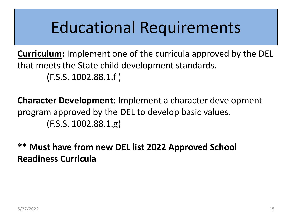## Educational Requirements

**Curriculum:** Implement one of the curricula approved by the DEL that meets the State child development standards. (F.S.S. 1002.88.1.f )

**Character Development:** Implement a character development program approved by the DEL to develop basic values. (F.S.S. 1002.88.1.g)

**\*\* Must have from new DEL list 2022 Approved School Readiness Curricula**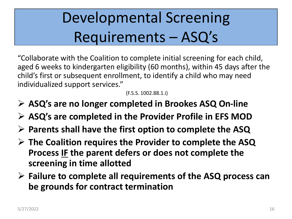## Developmental Screening Requirements – ASQ's

"Collaborate with the Coalition to complete initial screening for each child, aged 6 weeks to kindergarten eligibility (60 months), within 45 days after the child's first or subsequent enrollment, to identify a child who may need individualized support services."

(F.S.S. 1002.88.1.i)

- ➢ **ASQ's are no longer completed in Brookes ASQ On-line**
- ➢ **ASQ's are completed in the Provider Profile in EFS MOD**
- ➢ **Parents shall have the first option to complete the ASQ**
- ➢ **The Coalition requires the Provider to complete the ASQ Process IF the parent defers or does not complete the screening in time allotted**
- ➢ **Failure to complete all requirements of the ASQ process can be grounds for contract termination**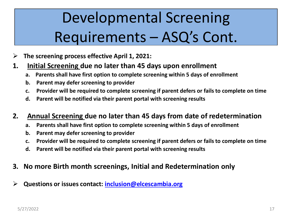## Developmental Screening Requirements – ASQ's Cont.

- ➢ **The screening process effective April 1, 2021:**
- **1. Initial Screening due no later than 45 days upon enrollment**
	- **a. Parents shall have first option to complete screening within 5 days of enrollment**
	- **b. Parent may defer screening to provider**
	- **c. Provider will be required to complete screening if parent defers or fails to complete on time**
	- **d. Parent will be notified via their parent portal with screening results**

#### **2. Annual Screening due no later than 45 days from date of redetermination**

- **a. Parents shall have first option to complete screening within 5 days of enrollment**
- **b. Parent may defer screening to provider**
- **c. Provider will be required to complete screening if parent defers or fails to complete on time**
- **d. Parent will be notified via their parent portal with screening results**
- **3. No more Birth month screenings, Initial and Redetermination only**
- ➢ **Questions or issues contact: [inclusion@elcescambia.org](mailto:inclusion@elcescambia.org)**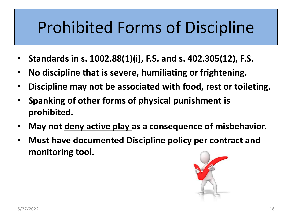## Prohibited Forms of Discipline

- **Standards in s. 1002.88(1)(i), F.S. and s. 402.305(12), F.S.**
- **No discipline that is severe, humiliating or frightening.**
- **Discipline may not be associated with food, rest or toileting.**
- **Spanking of other forms of physical punishment is prohibited.**
- **May not deny active play as a consequence of misbehavior.**
- **Must have documented Discipline policy per contract and monitoring tool.**

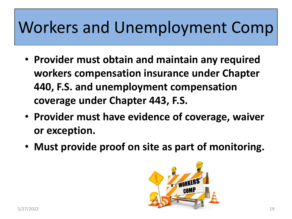## Workers and Unemployment Comp

- **Provider must obtain and maintain any required workers compensation insurance under Chapter 440, F.S. and unemployment compensation coverage under Chapter 443, F.S.**
- **Provider must have evidence of coverage, waiver or exception.**
- **Must provide proof on site as part of monitoring.**

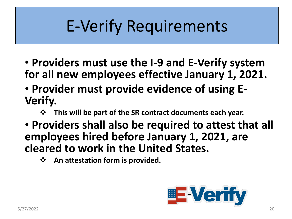## E-Verify Requirements

- **Providers must use the I-9 and E-Verify system for all new employees effective January 1, 2021.**
- **Provider must provide evidence of using E-Verify.** 
	- ❖ **This will be part of the SR contract documents each year.**
- **Providers shall also be required to attest that all employees hired before January 1, 2021, are cleared to work in the United States.** 
	- ❖ **An attestation form is provided.**

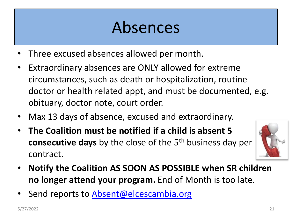## Absences

- Three excused absences allowed per month.
- Extraordinary absences are ONLY allowed for extreme circumstances, such as death or hospitalization, routine doctor or health related appt, and must be documented, e.g. obituary, doctor note, court order.
- Max 13 days of absence, excused and extraordinary.
- **The Coalition must be notified if a child is absent 5 consecutive days** by the close of the 5<sup>th</sup> business day per contract.



- **Notify the Coalition AS SOON AS POSSIBLE when SR children no longer attend your program.** End of Month is too late.
- Send reports to [Absent@elcescambia.org](mailto:Absent@elcescambia.org)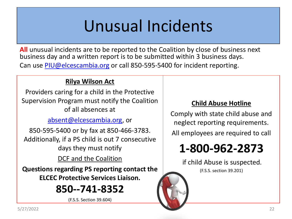## Unusual Incidents

**All** unusual incidents are to be reported to the Coalition by close of business next business day and a written report is to be submitted within 3 business days. Can use [PIU@elcescambia.org](mailto:PIU@elcescambia.org) or call 850-595-5400 for incident reporting.

#### **Rilya Wilson Act**

Providers caring for a child in the Protective Supervision Program must notify the Coalition of all absences at

[absent@elcescambia.org,](mailto:absent@elcescambia.org) or

850-595-5400 or by fax at 850-466-3783. Additionally, if a PS child is out 7 consecutive days they must notify

DCF and the Coalition

**Questions regarding PS reporting contact the ELCEC Protective Services Liaison.**

### **850--741-8352**

(F.S.S. Section 39.604)

#### **Child Abuse Hotline**

Comply with state child abuse and neglect reporting requirements.

All employees are required to call

### **1-800-962-2873**

if child Abuse is suspected.

(F.S.S. section 39.201)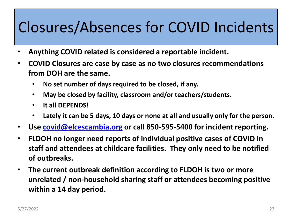### Closures/Absences for COVID Incidents

- **Anything COVID related is considered a reportable incident.**
- **COVID Closures are case by case as no two closures recommendations from DOH are the same.**
	- **No set number of days required to be closed, if any.**
	- **May be closed by facility, classroom and/or teachers/students.**
	- **It all DEPENDS!**
	- **Lately it can be 5 days, 10 days or none at all and usually only for the person.**
- **Use [covid@elcescambia.org](mailto:covid@elcescambia.org) or call 850-595-5400 for incident reporting.**
- **FLDOH no longer need reports of individual positive cases of COVID in staff and attendees at childcare facilities. They only need to be notified of outbreaks.**
- **The current outbreak definition according to FLDOH is two or more unrelated / non-household sharing staff or attendees becoming positive within a 14 day period.**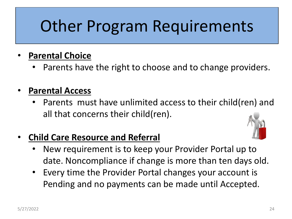## Other Program Requirements

#### • **Parental Choice**

Parents have the right to choose and to change providers.

#### • **Parental Access**

Parents must have unlimited access to their child(ren) and all that concerns their child(ren).

#### • **Child Care Resource and Referral**



- New requirement is to keep your Provider Portal up to date. Noncompliance if change is more than ten days old.
- Every time the Provider Portal changes your account is Pending and no payments can be made until Accepted.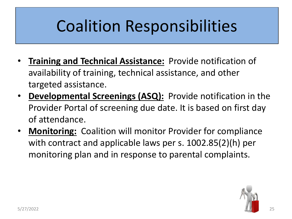## Coalition Responsibilities

- **Training and Technical Assistance:** Provide notification of availability of training, technical assistance, and other targeted assistance.
- **Developmental Screenings (ASQ):** Provide notification in the Provider Portal of screening due date. It is based on first day of attendance.
- **Monitoring:** Coalition will monitor Provider for compliance with contract and applicable laws per s. 1002.85(2)(h) per monitoring plan and in response to parental complaints.

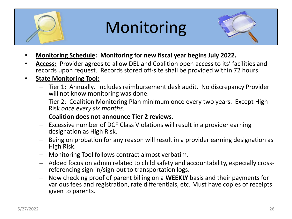

## Monitoring



- **Monitoring Schedule: Monitoring for new fiscal year begins July 2022.**
- **Access:** Provider agrees to allow DEL and Coalition open access to its' facilities and records upon request. Records stored off-site shall be provided within 72 hours.
- **State Monitoring Tool:**
	- Tier 1: Annually. Includes reimbursement desk audit. No discrepancy Provider will not know monitoring was done.
	- Tier 2: Coalition Monitoring Plan minimum once every two years. Except High Risk *once every six months*.
	- **Coalition does not announce Tier 2 reviews.**
	- Excessive number of DCF Class Violations will result in a provider earning designation as High Risk.
	- Being on probation for any reason will result in a provider earning designation as High Risk.
	- Monitoring Tool follows contract almost verbatim.
	- Added focus on admin related to child safety and accountability, especially crossreferencing sign-in/sign-out to transportation logs.
	- Now checking proof of parent billing on a **WEEKLY** basis and their payments for various fees and registration, rate differentials, etc. Must have copies of receipts given to parents.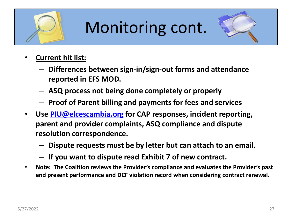

## Monitoring cont.



- **Current hit list:**
	- **Differences between sign-in/sign-out forms and attendance reported in EFS MOD.**
	- **ASQ process not being done completely or properly**
	- **Proof of Parent billing and payments for fees and services**
- **Use [PIU@elcescambia.org](mailto:PIU@elcescambia.org) for CAP responses, incident reporting, parent and provider complaints, ASQ compliance and dispute resolution correspondence.** 
	- **Dispute requests must be by letter but can attach to an email.**
	- **If you want to dispute read Exhibit 7 of new contract.**
- **Note: The Coalition reviews the Provider's compliance and evaluates the Provider's past and present performance and DCF violation record when considering contract renewal.**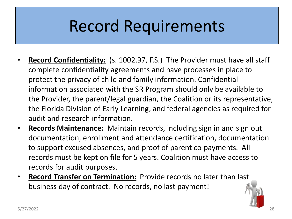## Record Requirements

- **Record Confidentiality:** (s. 1002.97, F.S.) The Provider must have all staff complete confidentiality agreements and have processes in place to protect the privacy of child and family information. Confidential information associated with the SR Program should only be available to the Provider, the parent/legal guardian, the Coalition or its representative, the Florida Division of Early Learning, and federal agencies as required for audit and research information.
- **Records Maintenance:** Maintain records, including sign in and sign out documentation, enrollment and attendance certification, documentation to support excused absences, and proof of parent co-payments. All records must be kept on file for 5 years. Coalition must have access to records for audit purposes.
- **Record Transfer on Termination:** Provide records no later than last business day of contract. No records, no last payment!

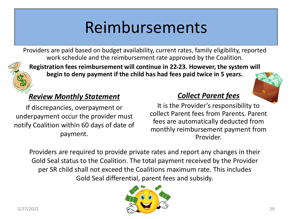## Reimbursements

Providers are paid based on budget availability, current rates, family eligibility, reported work schedule and the reimbursement rate approved by the Coalition.



**Registration fees reimbursement will continue in 22-23. However, the system will begin to deny payment if the child has had fees paid twice in 5 years.** 

#### *Review Monthly Statement*

If discrepancies, overpayment or underpayment occur the provider must notify Coalition within 60 days of date of payment.

#### *Collect Parent fees*

It is the Provider's responsibility to collect Parent fees from Parents. Parent fees are automatically deducted from monthly reimbursement payment from Provider.

Providers are required to provide private rates and report any changes in their Gold Seal status to the Coalition. The total payment received by the Provider per SR child shall not exceed the Coalitions maximum rate. This includes Gold Seal differential, parent fees and subsidy.

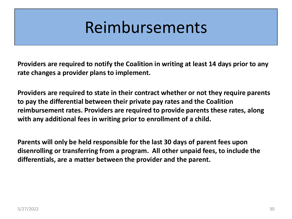### Reimbursements

**Providers are required to notify the Coalition in writing at least 14 days prior to any rate changes a provider plans to implement.** 

**Providers are required to state in their contract whether or not they require parents to pay the differential between their private pay rates and the Coalition reimbursement rates. Providers are required to provide parents these rates, along with any additional fees in writing prior to enrollment of a child.** 

**Parents will only be held responsible for the last 30 days of parent fees upon disenrolling or transferring from a program. All other unpaid fees, to include the differentials, are a matter between the provider and the parent.**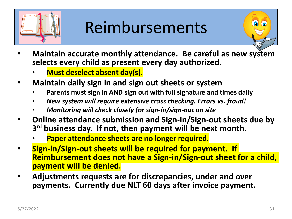

## Reimbursements

- **Maintain accurate monthly attendance. Be careful as new system selects every child as present every day authorized.** 
	- **Must deselect absent day(s).**
- **Maintain daily sign in and sign out sheets or system**
	- **Parents must sign in AND sign out with full signature and times daily**
	- *New system will require extensive cross checking. Errors vs. fraud!*
	- *Monitoring will check closely for sign-in/sign-out on site*
- **Online attendance submission and Sign-in/Sign-out sheets due by 3 rd business day. If not, then payment will be next month.** 
	- **Paper attendance sheets are no longer required.**
- **Sign-in/Sign-out sheets will be required for payment. If Reimbursement does not have a Sign-in/Sign-out sheet for a child, payment will be denied.**
- **Adjustments requests are for discrepancies, under and over payments. Currently due NLT 60 days after invoice payment.**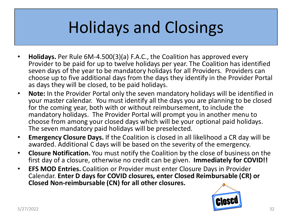## Holidays and Closings

- **Holidays.** Per Rule 6M-4.500(3)(a) F.A.C., the Coalition has approved every Provider to be paid for up to twelve holidays per year. The Coalition has identified seven days of the year to be mandatory holidays for all Providers. Providers can choose up to five additional days from the days they identify in the Provider Portal as days they will be closed, to be paid holidays.
- **Note:** In the Provider Portal only the seven mandatory holidays will be identified in your master calendar. You must identify all the days you are planning to be closed for the coming year, both with or without reimbursement, to include the mandatory holidays. The Provider Portal will prompt you in another menu to choose from among your closed days which will be your optional paid holidays. The seven mandatory paid holidays will be preselected.
- **Emergency Closure Days.** If the Coalition is closed in all likelihood a CR day will be awarded. Additional C days will be based on the severity of the emergency.
- **Closure Notification.** You must notify the Coalition by the close of business on the first day of a closure, otherwise no credit can be given. **Immediately for COVID!!**
- **EFS MOD Entries.** Coalition or Provider must enter Closure Days in Provider Calendar. **Enter D days for COVID closures, enter Closed Reimbursable (CR) or Closed Non-reimbursable (CN) for all other closures.**

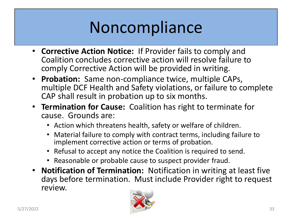## **Noncompliance**

- **Corrective Action Notice:** If Provider fails to comply and Coalition concludes corrective action will resolve failure to comply Corrective Action will be provided in writing.
- **Probation:** Same non-compliance twice, multiple CAPs, multiple DCF Health and Safety violations, or failure to complete CAP shall result in probation up to six months.
- **Termination for Cause:** Coalition has right to terminate for cause. Grounds are:
	- Action which threatens health, safety or welfare of children.
	- Material failure to comply with contract terms, including failure to implement corrective action or terms of probation.
	- Refusal to accept any notice the Coalition is required to send.
	- Reasonable or probable cause to suspect provider fraud.
- **Notification of Termination:** Notification in writing at least five days before termination. Must include Provider right to request review.

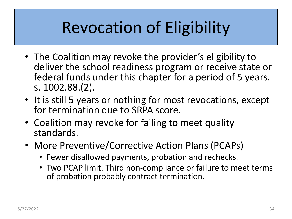## Revocation of Eligibility

- The Coalition may revoke the provider's eligibility to deliver the school readiness program or receive state or federal funds under this chapter for a period of 5 years. s. 1002.88.(2).
- It is still 5 years or nothing for most revocations, except for termination due to SRPA score.
- Coalition may revoke for failing to meet quality standards.
- More Preventive/Corrective Action Plans (PCAPs)
	- Fewer disallowed payments, probation and rechecks.
	- Two PCAP limit. Third non-compliance or failure to meet terms of probation probably contract termination.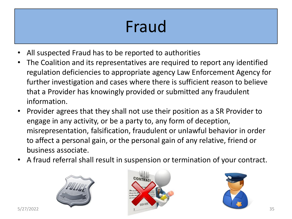## Fraud

- All suspected Fraud has to be reported to authorities
- The Coalition and its representatives are required to report any identified regulation deficiencies to appropriate agency Law Enforcement Agency for further investigation and cases where there is sufficient reason to believe that a Provider has knowingly provided or submitted any fraudulent information.
- Provider agrees that they shall not use their position as a SR Provider to engage in any activity, or be a party to, any form of deception, misrepresentation, falsification, fraudulent or unlawful behavior in order to affect a personal gain, or the personal gain of any relative, friend or business associate.
- A fraud referral shall result in suspension or termination of your contract.





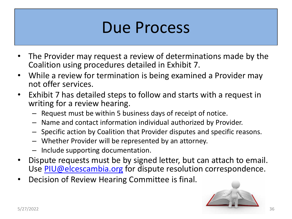### Due Process

- The Provider may request a review of determinations made by the Coalition using procedures detailed in Exhibit 7.
- While a review for termination is being examined a Provider may not offer services.
- Exhibit 7 has detailed steps to follow and starts with a request in writing for a review hearing.
	- Request must be within 5 business days of receipt of notice.
	- Name and contact information individual authorized by Provider.
	- Specific action by Coalition that Provider disputes and specific reasons.
	- Whether Provider will be represented by an attorney.
	- Include supporting documentation.
- Dispute requests must be by signed letter, but can attach to email. Use [PIU@elcescambia.org](mailto:PIU@elcescambia.org) for dispute resolution correspondence.
- Decision of Review Hearing Committee is final.

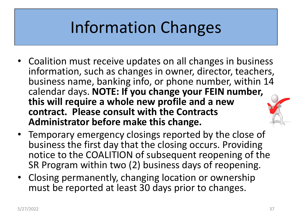## Information Changes

- Coalition must receive updates on all changes in business information, such as changes in owner, director, teachers, business name, banking info, or phone number, within 14 calendar days. **NOTE: If you change your FEIN number, this will require a whole new profile and a new contract. Please consult with the Contracts Administrator before make this change.**
- Temporary emergency closings reported by the close of business the first day that the closing occurs. Providing notice to the COALITION of subsequent reopening of the SR Program within two (2) business days of reopening.
- Closing permanently, changing location or ownership must be reported at least 30 days prior to changes.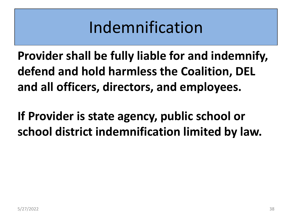## Indemnification

**Provider shall be fully liable for and indemnify, defend and hold harmless the Coalition, DEL and all officers, directors, and employees.**

**If Provider is state agency, public school or school district indemnification limited by law.**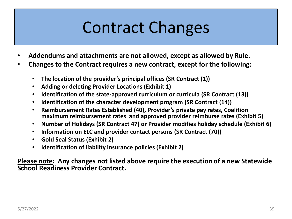## Contract Changes

- **Addendums and attachments are not allowed, except as allowed by Rule.**
- **Changes to the Contract requires a new contract, except for the following:**
	- **The location of the provider's principal offices (SR Contract (1))**
	- **Adding or deleting Provider Locations (Exhibit 1)**
	- **Identification of the state-approved curriculum or curricula (SR Contract (13))**
	- **Identification of the character development program (SR Contract (14))**
	- **Reimbursement Rates Established (40), Provider's private pay rates, Coalition maximum reimbursement rates and approved provider reimburse rates (Exhibit 5)**
	- **Number of Holidays (SR Contract 47) or Provider modifies holiday schedule (Exhibit 6)**
	- **Information on ELC and provider contact persons (SR Contract (70))**
	- **Gold Seal Status (Exhibit 2)**
	- **Identification of liability insurance policies (Exhibit 2)**

**Please note: Any changes not listed above require the execution of a new Statewide School Readiness Provider Contract.**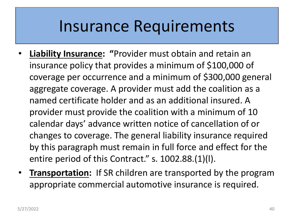### Insurance Requirements

- **Liability Insurance: "**Provider must obtain and retain an insurance policy that provides a minimum of \$100,000 of coverage per occurrence and a minimum of \$300,000 general aggregate coverage. A provider must add the coalition as a named certificate holder and as an additional insured. A provider must provide the coalition with a minimum of 10 calendar days' advance written notice of cancellation of or changes to coverage. The general liability insurance required by this paragraph must remain in full force and effect for the entire period of this Contract." s. 1002.88.(1)(I).
- **Transportation:** If SR children are transported by the program appropriate commercial automotive insurance is required.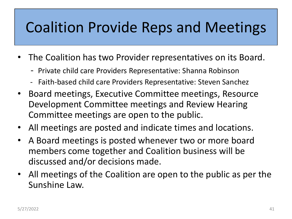### Coalition Provide Reps and Meetings

- The Coalition has two Provider representatives on its Board.
	- Private child care Providers Representative: Shanna Robinson
	- Faith-based child care Providers Representative: Steven Sanchez
- Board meetings, Executive Committee meetings, Resource Development Committee meetings and Review Hearing Committee meetings are open to the public.
- All meetings are posted and indicate times and locations.
- A Board meetings is posted whenever two or more board members come together and Coalition business will be discussed and/or decisions made.
- All meetings of the Coalition are open to the public as per the Sunshine Law.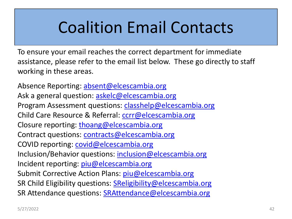## Coalition Email Contacts

To ensure your email reaches the correct department for immediate assistance, please refer to the email list below. These go directly to staff working in these areas.

Absence Reporting: [absent@elcescambia.org](mailto:absent@elcescambia.org) Ask a general question: **askelc@elcescambia.org** Program Assessment questions: [classhelp@elcescambia.org](mailto:classhelp@elcescambia.org) Child Care Resource & Referral: [ccrr@elcescambia.org](mailto:ccrr@elcescambia.org) Closure reporting: [thoang@elcescambia.org](mailto:thoang@elcescambia.org) Contract questions: [contracts@elcescambia.org](mailto:contracts@elcescambia.org) COVID reporting: [covid@elcescambia.org](mailto:covid@elcescambia.org) Inclusion/Behavior questions: [inclusion@elcescambia.org](mailto:inclusion@elcescambia.org) Incident reporting: *[piu@elcescambia.org](mailto:piu@elcescambia.org)* Submit Corrective Action Plans: *piu@elcescambia.org* SR Child Eligibility questions: **[SReligibility@elcescambia.org](mailto:SReligibility@elcescambia.org)** SR Attendance questions: [SRAttendance@elcescambia.org](mailto:SRAttendance@elcescambia.org)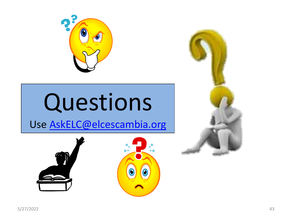

# Questions

Use [AskELC@elcescambia.org](mailto:AskELC@elcescambia.org)